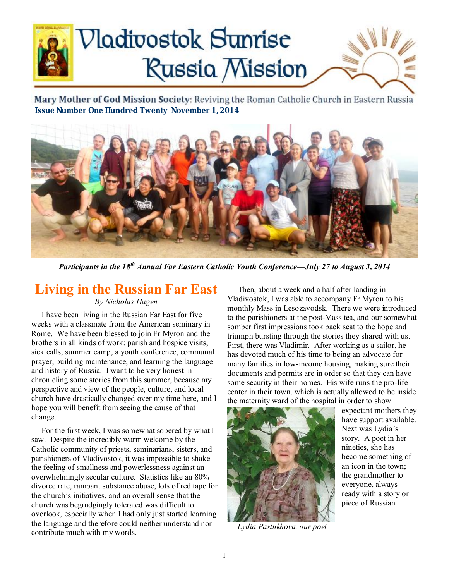# **Nadivostok Sunrise Russia Mission**

Mary Mother of God Mission Society: Reviving the Roman Catholic Church in Eastern Russia  **Issue Number One Hundred Twenty November 1, 2014** 



*Participants in the 18th Annual Far Eastern Catholic Youth Conference—July 27 to August 3, 2014* 

# **Living in the Russian Far East**

#### *By Nicholas Hagen*

 I have been living in the Russian Far East for five weeks with a classmate from the American seminary in Rome. We have been blessed to join Fr Myron and the brothers in all kinds of work: parish and hospice visits, sick calls, summer camp, a youth conference, communal prayer, building maintenance, and learning the language and history of Russia. I want to be very honest in chronicling some stories from this summer, because my perspective and view of the people, culture, and local church have drastically changed over my time here, and I hope you will benefit from seeing the cause of that change.

 For the first week, I was somewhat sobered by what I saw. Despite the incredibly warm welcome by the Catholic community of priests, seminarians, sisters, and parishioners of Vladivostok, it was impossible to shake the feeling of smallness and powerlessness against an overwhelmingly secular culture. Statistics like an 80% divorce rate, rampant substance abuse, lots of red tape for the church's initiatives, and an overall sense that the church was begrudgingly tolerated was difficult to overlook, especially when I had only just started learning the language and therefore could neither understand nor contribute much with my words.

 Then, about a week and a half after landing in Vladivostok, I was able to accompany Fr Myron to his monthly Mass in Lesozavodsk. There we were introduced to the parishioners at the post-Mass tea, and our somewhat somber first impressions took back seat to the hope and triumph bursting through the stories they shared with us. First, there was Vladimir. After working as a sailor, he has devoted much of his time to being an advocate for many families in low-income housing, making sure their documents and permits are in order so that they can have some security in their homes. His wife runs the pro-life center in their town, which is actually allowed to be inside the maternity ward of the hospital in order to show



 *Lydia Pastukhova, our poet* 

expectant mothers they have support available. Next was Lydia's story. A poet in her nineties, she has become something of an icon in the town; the grandmother to everyone, always ready with a story or piece of Russian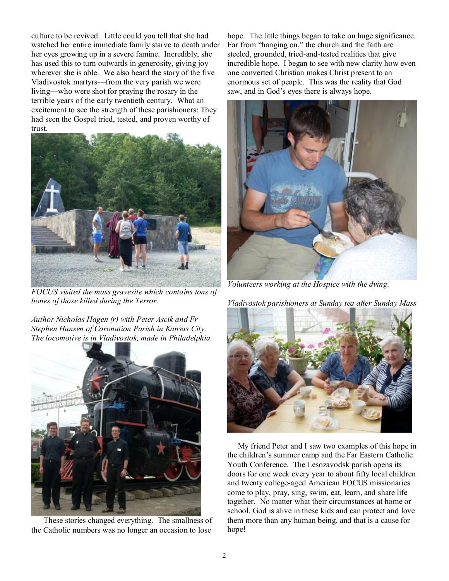culture to be revived. Little could you tell that she had watched her entire immediate family starve to death under her eyes growing up in a severe famine. Incredibly, she has used this to turn outwards in generosity, giving joy wherever she is able. We also heard the story of the five Vladivostok martyrs—from the very parish we were living—who were shot for praying the rosary in the terrible years of the early twentieth century. What an excitement to see the strength of these parishioners: They had seen the Gospel tried, tested, and proven worthy of trust.



*FOCUS visited the mass gravesite which contains tons of bones of those killed during the Terror.* 

*Author Nicholas Hagen (r) with Peter Ascik and Fr Stephen Hansen of Coronation Parish in Kansas City. The locomotive is in Vladivostok, made in Philadelphia.* 



 These stories changed everything. The smallness of the Catholic numbers was no longer an occasion to lose

hope. The little things began to take on huge significance. Far from "hanging on," the church and the faith are steeled, grounded, tried-and-tested realities that give incredible hope. I began to see with new clarity how even one converted Christian makes Christ present to an enormous set of people. This was the reality that God saw, and in God's eyes there is always hope.



*Volunteers working at the Hospice with the dying.* 

*Vladivostok parishioners at Sunday tea after Sunday Mass* 



 My friend Peter and I saw two examples of this hope in the children's summer camp and the Far Eastern Catholic Youth Conference. The Lesozavodsk parish opens its doors for one week every year to about fifty local children and twenty college-aged American FOCUS missionaries come to play, pray, sing, swim, eat, learn, and share life together. No matter what their circumstances at home or school, God is alive in these kids and can protect and love them more than any human being, and that is a cause for hope!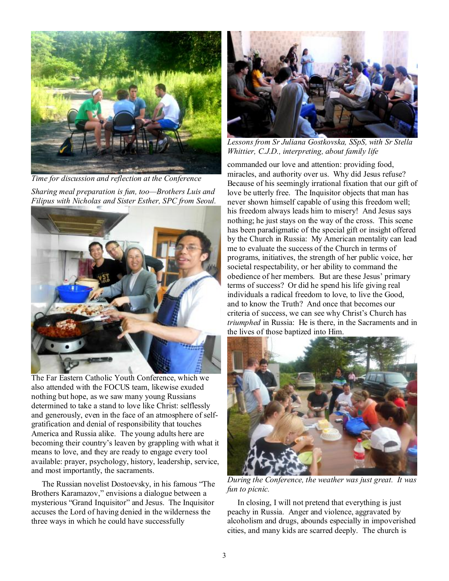

*Time for discussion and reflection at the Conference Sharing meal preparation is fun, too—Brothers Luis and Filipus with Nicholas and Sister Esther, SPC from Seoul.* 



The Far Eastern Catholic Youth Conference, which we also attended with the FOCUS team, likewise exuded nothing but hope, as we saw many young Russians determined to take a stand to love like Christ: selflessly and generously, even in the face of an atmosphere of selfgratification and denial of responsibility that touches America and Russia alike. The young adults here are becoming their country's leaven by grappling with what it means to love, and they are ready to engage every tool available: prayer, psychology, history, leadership, service, and most importantly, the sacraments.

 The Russian novelist Dostoevsky, in his famous "The Brothers Karamazov," envisions a dialogue between a mysterious "Grand Inquisitor" and Jesus. The Inquisitor accuses the Lord of having denied in the wilderness the three ways in which he could have successfully



*Lessons from Sr Juliana Gostkovska, SSpS, with Sr Stella Whittier, C.J.D., interpreting, about family life*

commanded our love and attention: providing food, miracles, and authority over us. Why did Jesus refuse? Because of his seemingly irrational fixation that our gift of love be utterly free. The Inquisitor objects that man has never shown himself capable of using this freedom well; his freedom always leads him to misery! And Jesus says nothing; he just stays on the way of the cross. This scene has been paradigmatic of the special gift or insight offered by the Church in Russia: My American mentality can lead me to evaluate the success of the Church in terms of programs, initiatives, the strength of her public voice, her societal respectability, or her ability to command the obedience of her members. But are these Jesus' primary terms of success? Or did he spend his life giving real individuals a radical freedom to love, to live the Good, and to know the Truth? And once that becomes our criteria of success, we can see why Christ's Church has *triumphed* in Russia: He is there, in the Sacraments and in the lives of those baptized into Him.



*During the Conference, the weather was just great. It was fun to picnic.* 

 In closing, I will not pretend that everything is just peachy in Russia. Anger and violence, aggravated by alcoholism and drugs, abounds especially in impoverished cities, and many kids are scarred deeply. The church is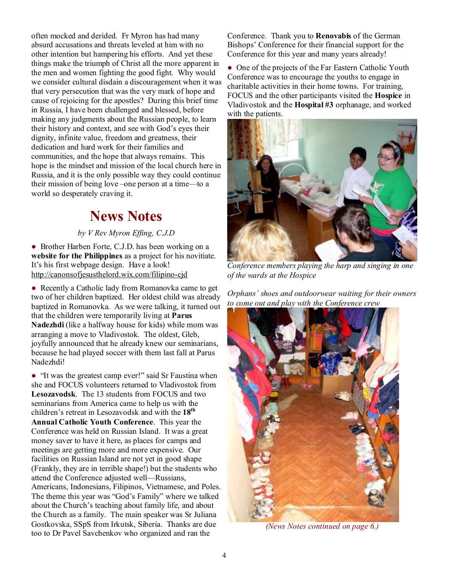often mocked and derided. Fr Myron has had many absurd accusations and threats leveled at him with no other intention but hampering his efforts. And yet these things make the triumph of Christ all the more apparent in the men and women fighting the good fight. Why would we consider cultural disdain a discouragement when it was that very persecution that was the very mark of hope and cause of rejoicing for the apostles? During this brief time in Russia, I have been challenged and blessed, before making any judgments about the Russian people, to learn their history and context, and see with God's eyes their dignity, infinite value, freedom and greatness, their dedication and hard work for their families and communities, and the hope that always remains. This hope is the mindset and mission of the local church here in Russia, and it is the only possible way they could continue their mission of being love –one person at a time—to a world so desperately craving it.

# **News Notes**

#### *by V Rev Myron Effing, C.J.D*

• Brother Harben Forte, C.J.D. has been working on a **website for the Philippines** as a project for his novitiate. It's his first webpage design. Have a look! <http://canonsofjesusthelord.wix.com/filipino-cjd>

• Recently a Catholic lady from Romanovka came to get two of her children baptized. Her oldest child was already baptized in Romanovka. As we were talking, it turned out that the children were temporarily living at **Parus Nadezhdi** (like a halfway house for kids) while mom was arranging a move to Vladivostok. The oldest, Gleb, joyfully announced that he already knew our seminarians, because he had played soccer with them last fall at Parus Nadezhdi!

● "It was the greatest camp ever!" said Sr Faustina when she and FOCUS volunteers returned to Vladivostok from **Lesozavodsk**. The 13 students from FOCUS and two seminarians from America came to help us with the children's retreat in Lesozavodsk and with the **18th Annual Catholic Youth Conference**. This year the Conference was held on Russian Island. It was a great money saver to have it here, as places for camps and meetings are getting more and more expensive. Our facilities on Russian Island are not yet in good shape (Frankly, they are in terrible shape!) but the students who attend the Conference adjusted well—Russians, Americans, Indonesians, Filipinos, Vietnamese, and Poles. The theme this year was "God's Family" where we talked about the Church's teaching about family life, and about the Church as a family. The main speaker was Sr Juliana Gostkovska, SSpS from Irkutsk, Siberia. Thanks are due too to Dr Pavel Savchenkov who organized and ran the

Conference. Thank you to **Renovabis** of the German Bishops' Conference for their financial support for the Conference for this year and many years already!

• One of the projects of the Far Eastern Catholic Youth Conference was to encourage the youths to engage in charitable activities in their home towns. For training, FOCUS and the other participants visited the **Hospice** in Vladivostok and the **Hospital #3** orphanage, and worked with the patients.



*Conference members playing the harp and singing in one of the wards at the Hospice* 

*Orphans' shoes and outdoorwear waiting for their owners to come out and play with the Conference crew* 



*(News Notes continued on page 6.)*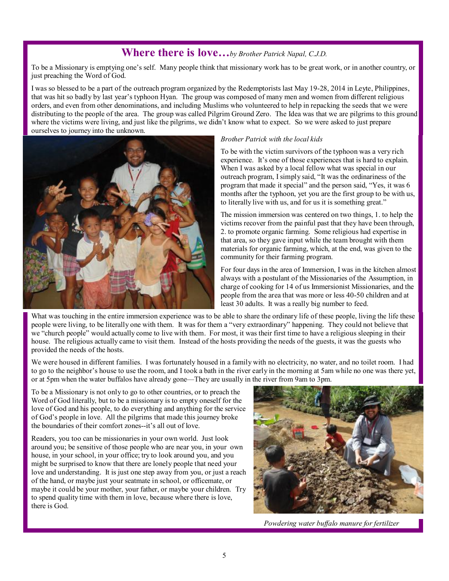### **Where there is love…***by Brother Patrick Napal, C.J.D.*

To be a Missionary is emptying one's self. Many people think that missionary work has to be great work, or in another country, or just preaching the Word of God.

I was so blessed to be a part of the outreach program organized by the Redemptorists last May 19-28, 2014 in Leyte, Philippines, that was hit so badly by last year's typhoon Hyan. The group was composed of many men and women from different religious orders, and even from other denominations, and including Muslims who volunteered to help in repacking the seeds that we were distributing to the people of the area. The group was called Pilgrim Ground Zero. The Idea was that we are pilgrims to this ground where the victims were living, and just like the pilgrims, we didn't know what to expect. So we were asked to just prepare ourselves to journey into the unknown.



#### *Brother Patrick with the local kids*

To be with the victim survivors of the typhoon was a very rich experience. It's one of those experiences that is hard to explain. When I was asked by a local fellow what was special in our outreach program, Isimply said, "It was the ordinariness of the program that made it special" and the person said, "Yes, it was 6 months after the typhoon, yet you are the first group to be with us, to literally live with us, and for us it is something great."

The mission immersion was centered on two things, 1. to help the victims recover from the painful past that they have been through, 2. to promote organic farming. Some religious had expertise in that area, so they gave input while the team brought with them materials for organic farming, which, at the end, was given to the community for their farming program.

For four days in the area of Immersion, I was in the kitchen almost always with a postulant of the Missionaries of the Assumption, in charge of cooking for 14 of us Immersionist Missionaries, and the people from the area that was more or less 40-50 children and at least 30 adults. It was a really big number to feed.

What was touching in the entire immersion experience was to be able to share the ordinary life of these people, living the life these people were living, to be literally one with them. It was for them a "very extraordinary" happening. They could not believe that we "church people" would actually come to live with them. For most, it was their first time to have a religious sleeping in their house. The religious actually came to visit them. Instead of the hosts providing the needs of the guests, it was the guests who provided the needs of the hosts.

We were housed in different families. I was fortunately housed in a family with no electricity, no water, and no toilet room. I had to go to the neighbor's house to use the room, and I took a bath in the river early in the morning at 5am while no one was there yet, or at 5pm when the water buffalos have already gone—They are usually in the river from 9am to 3pm.

To be a Missionary is not only to go to other countries, or to preach the Word of God literally, but to be a missionary is to empty oneself for the love of God and his people, to do everything and anything for the service of God's people in love. All the pilgrims that made this journey broke the boundaries of their comfort zones--it's all out of love.

Readers, you too can be missionaries in your own world. Just look around you; be sensitive of those people who are near you, in your own house, in your school, in your office; try to look around you, and you might be surprised to know that there are lonely people that need your love and understanding. It is just one step away from you, or just a reach of the hand, or maybe just your seatmate in school, or officemate, or maybe it could be your mother, your father, or maybe your children. Try to spend quality time with them in love, because where there is love, there is God.



 *Powdering water buf alo manure for fertilizer*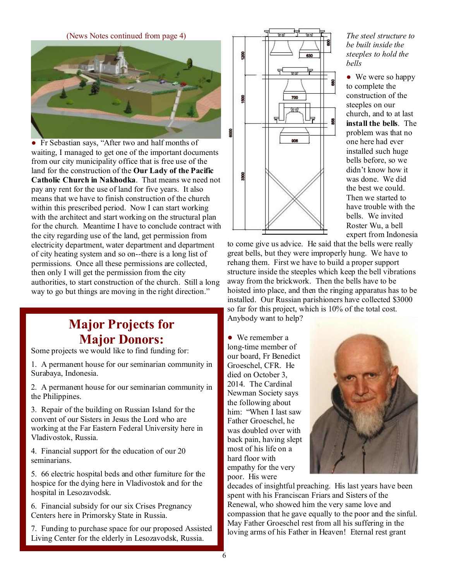(News Notes continued from page 4)



• Fr Sebastian says, "After two and half months of waiting, I managed to get one of the important documents from our city municipality office that is free use of the land for the construction of the **Our Lady of the Pacific Catholic Church in Nakhodka**. That means we need not pay any rent for the use of land for five years. It also means that we have to finish construction of the church within this prescribed period. Now I can start working with the architect and start working on the structural plan for the church. Meantime I have to conclude contract with the city regarding use of the land, get permission from electricity department, water department and department of city heating system and so on--there is a long list of permissions. Once all these permissions are collected, then only I will get the permission from the city authorities, to start construction of the church. Still a long way to go but things are moving in the right direction."

# **Major Projects for Major Donors:**

Some projects we would like to find funding for:

1. A permanent house for our seminarian community in Surabaya, Indonesia.

2. A permanent house for our seminarian community in the Philippines.

3. Repair of the building on Russian Island for the convent of our Sisters in Jesus the Lord who are working at the Far Eastern Federal University here in Vladivostok, Russia.

4. Financial support for the education of our 20 seminarians.

5. 66 electric hospital beds and other furniture for the hospice for the dying here in Vladivostok and for the hospital in Lesozavodsk.

6. Financial subsidy for our six Crises Pregnancy Centers here in Primorsky State in Russia.

7. Funding to purchase space for our proposed Assisted Living Center for the elderly in Lesozavodsk, Russia.



*The steel structure to be built inside the steeples to hold the bells* 

● We were so happy to complete the construction of the steeples on our church, and to at last **install the bells**. The problem was that no one here had ever installed such huge bells before, so we didn't know how it was done. We did the best we could. Then we started to have trouble with the bells. We invited Roster Wu, a bell expert from Indonesia

to come give us advice. He said that the bells were really great bells, but they were improperly hung. We have to rehang them. First we have to build a proper support structure inside the steeples which keep the bell vibrations away from the brickwork. Then the bells have to be hoisted into place, and then the ringing apparatus has to be installed. Our Russian parishioners have collected \$3000 so far for this project, which is 10% of the total cost. Anybody want to help?

● We remember a long-time member of our board, Fr Benedict Groeschel, CFR. He died on October 3, 2014. The Cardinal Newman Society says the following about him: "When I last saw Father Groeschel, he was doubled over with back pain, having slept most of his life on a hard floor with empathy for the very poor. His were



decades of insightful preaching. His last years have been spent with his Franciscan Friars and Sisters of the Renewal, who showed him the very same love and compassion that he gave equally to the poor and the sinful. May Father Groeschel rest from all his suffering in the loving arms of his Father in Heaven! Eternal rest grant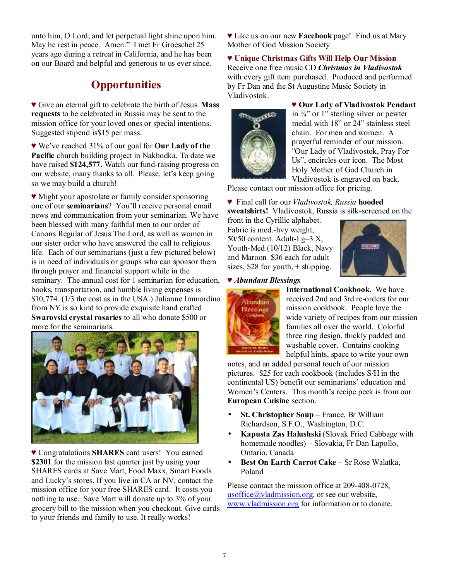unto him, O Lord; and let perpetual light shine upon him. May he rest in peace. Amen." I met Fr Groeschel 25 years ago during a retreat in California, and he has been on our Board and helpful and generous to us ever since.

## **Opportunities**

♥ Give an eternal gift to celebrate the birth of Jesus. **Mass requests** to be celebrated in Russia may be sent to the mission office for your loved ones or special intentions. Suggested stipend is\$15 per mass.

♥ We've reached 31% of our goal for **Our Lady of the Pacific** church building project in Nakhodka. To date we have raised **\$124,577.** Watch our fund-raising progress on our website, many thanks to all. Please, let's keep going so we may build a church!

♥ Might your apostolate or family consider sponsoring one of our **seminarians**? You'll receive personal email news and communication from your seminarian. We have been blessed with many faithful men to our order of Canons Regular of Jesus The Lord, as well as women in our sister order who have answered the call to religious life. Each of our seminarians (just a few pictured below) is in need of individuals or groups who can sponsor them through prayer and financial support while in the seminary. The annual cost for 1 seminarian for education, books, transportation, and humble living expenses is \$10,774. (1/3 the cost as in the USA.) Julianne Immordino from NY is so kind to provide exquisite hand crafted **Swarovski crystal rosaries** to all who donate \$500 or more for the seminarians.



♥ Congratulations **SHARES** card users! You earned **\$2301** for the mission last quarter just by using your SHARES cards at Save Mart, Food Maxx, Smart Foods and Lucky's stores. If you live in CA or NV, contact the mission office for your free SHARES card. It costs you nothing to use. Save Mart will donate up to 3% of your grocery bill to the mission when you checkout. Give cards to your friends and family to use. It really works!

♥ Like us on our new **Facebook** page! Find us at Mary Mother of God Mission Society

♥ **Unique Christmas Gifts Will Help Our Mission**  Receive one free music CD *Christmas in Vladivostok* with every gift item purchased. Produced and performed by Fr Dan and the St Augustine Music Society in Vladivostok.



♥ **Our Lady of Vladivostok Pendant**  in  $\frac{3}{4}$  or 1" sterling silver or pewter medal with 18" or 24" stainless steel chain. For men and women. A prayerful reminder of our mission. "Our Lady of Vladivostok, Pray For Us", encircles our icon. The Most Holy Mother of God Church in Vladivostok is engraved on back.

Please contact our mission office for pricing.

♥ Final call for our *Vladivostok, Russia* **hooded sweatshirts!** Vladivostok, Russia is silk-screened on the

front in the Cyrillic alphabet. Fabric is med.-hvy weight, 50/50 content. Adult-Lg–3 X, Youth-Med.(10/12) Black, Navy and Maroon \$36 each for adult sizes, \$28 for youth, + shipping.



♥ *Abundant Blessings*



**International Cookbook.** We have received 2nd and 3rd re-orders for our mission cookbook. People love the wide variety of recipes from our mission families all over the world. Colorful three ring design, thickly padded and washable cover. Contains cooking helpful hints, space to write your own

notes, and an added personal touch of our mission pictures. \$25 for each cookbook (includes S/H in the continental US) benefit our seminarians' education and Women's Centers. This month's recipe peek is from our **European Cuisine** section.

- **St. Christopher Soup** France, Br William Richardson, S.F.O., Washington, D.C.
- **Kapusta Zas Halushski** (Slovak Fried Cabbage with homemade noodles) – Slovakia, Fr Dan Lapollo, Ontario, Canada
- **Best On Earth Carrot Cake** Sr Rose Walatka, Poland

Please contact the mission office at 209-408-0728, usoffice $\omega$ vladmission.org, or see our website, [www.vladmission.org](http://www.vladmission.org) for information or to donate.